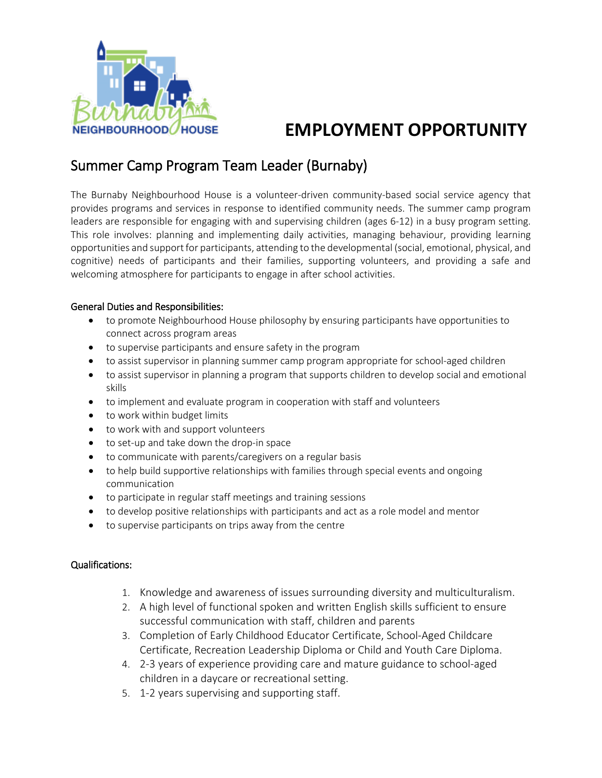

# **EMPLOYMENT OPPORTUNITY**

# Summer Camp Program Team Leader (Burnaby)

The Burnaby Neighbourhood House is a volunteer-driven community-based social service agency that provides programs and services in response to identified community needs. The summer camp program leaders are responsible for engaging with and supervising children (ages 6-12) in a busy program setting. This role involves: planning and implementing daily activities, managing behaviour, providing learning opportunities and support for participants, attending to the developmental (social, emotional, physical, and cognitive) needs of participants and their families, supporting volunteers, and providing a safe and welcoming atmosphere for participants to engage in after school activities.

#### General Duties and Responsibilities:

- to promote Neighbourhood House philosophy by ensuring participants have opportunities to connect across program areas
- to supervise participants and ensure safety in the program
- to assist supervisor in planning summer camp program appropriate for school-aged children
- to assist supervisor in planning a program that supports children to develop social and emotional skills
- to implement and evaluate program in cooperation with staff and volunteers
- to work within budget limits
- to work with and support volunteers
- to set-up and take down the drop-in space
- to communicate with parents/caregivers on a regular basis
- to help build supportive relationships with families through special events and ongoing communication
- to participate in regular staff meetings and training sessions
- to develop positive relationships with participants and act as a role model and mentor
- to supervise participants on trips away from the centre

#### Qualifications:

- 1. Knowledge and awareness of issues surrounding diversity and multiculturalism.
- 2. A high level of functional spoken and written English skills sufficient to ensure successful communication with staff, children and parents
- 3. Completion of Early Childhood Educator Certificate, School-Aged Childcare Certificate, Recreation Leadership Diploma or Child and Youth Care Diploma.
- 4. 2-3 years of experience providing care and mature guidance to school-aged children in a daycare or recreational setting.
- 5. 1-2 years supervising and supporting staff.